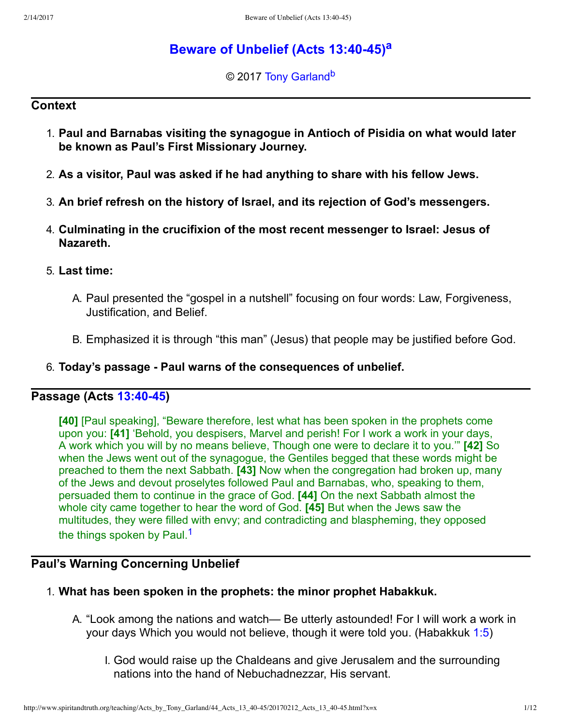# **[Beware of Unbelief \(Acts 13:4045\)](http://www.spiritandtruth.org/teaching/Acts_by_Tony_Garland/44_Acts_13_40-45/index.htm)[a](#page-11-0)**

<span id="page-0-3"></span><span id="page-0-2"></span>© 2017 [Tony Garland](http://www.spiritandtruth.org/id/tg.htm)<sup>[b](#page-11-1)</sup>

### **Context**

- 1. **Paul and Barnabas visiting the synagogue in Antioch of Pisidia on what would later be known as Paul's First Missionary Journey.**
- 2. **As a visitor, Paul was asked if he had anything to share with his fellow Jews.**
- 3. **An brief refresh on the history of Israel, and its rejection of God's messengers.**
- 4. **Culminating in the crucifixion of the most recent messenger to Israel: Jesus of Nazareth.**
- 5. **Last time:**
	- A. Paul presented the "gospel in a nutshell" focusing on four words: Law, Forgiveness, Justification, and Belief.
	- B. Emphasized it is through "this man" (Jesus) that people may be justified before God.
- 6. **Today's passage Paul warns of the consequences of unbelief.**

## **Passage (Acts [13:4045\)](http://www.spiritandtruth.org/bibles/nasb/b44c013.htm#Acts_C13V40)**

<span id="page-0-1"></span>**[40]** [Paul speaking], "Beware therefore, lest what has been spoken in the prophets come upon you: **[41]** 'Behold, you despisers, Marvel and perish! For I work a work in your days, A work which you will by no means believe, Though one were to declare it to you.'" **[42]** So when the Jews went out of the synagogue, the Gentiles begged that these words might be preached to them the next Sabbath. **[43]** Now when the congregation had broken up, many of the Jews and devout proselytes followed Paul and Barnabas, who, speaking to them, persuaded them to continue in the grace of God. **[44]** On the next Sabbath almost the whole city came together to hear the word of God. **[45]** But when the Jews saw the multitudes, they were filled with envy; and contradicting and blaspheming, they opposed the things spoken by Paul.<sup>[1](#page-11-2)</sup>

## **Paul's Warning Concerning Unbelief**

- <span id="page-0-0"></span>1. **What has been spoken in the prophets: the minor prophet Habakkuk.**
	- A. "Look among the nations and watch— Be utterly astounded! For I will work a work in your days Which you would not believe, though it were told you. (Habakkuk [1:5](http://www.spiritandtruth.org/bibles/nasb/b35c001.htm#Hab._C1V5))
		- I. God would raise up the Chaldeans and give Jerusalem and the surrounding nations into the hand of Nebuchadnezzar, His servant.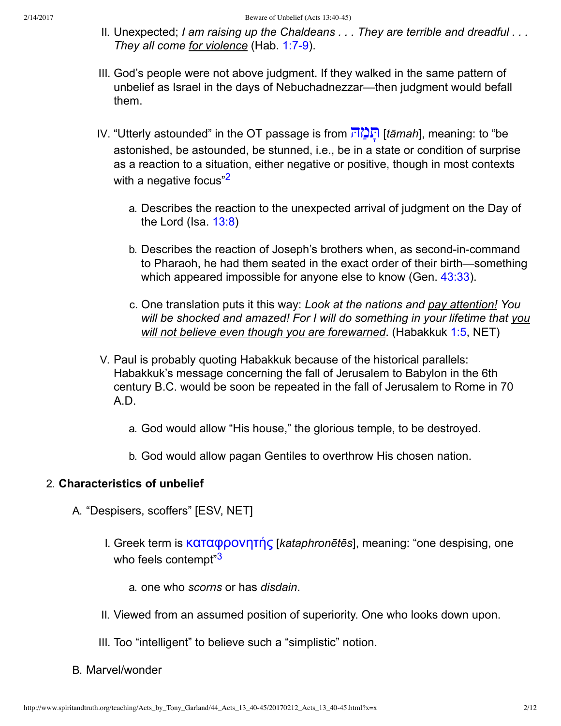- II. Unexpected; *I am raising up the Chaldeans . . . They are terrible and dreadful . . . They all come for violence* (Hab. 1:7-9).
- III. God's people were not above judgment. If they walked in the same pattern of unbelief as Israel in the days of Nebuchadnezzar—then judgment would befall them.
- <span id="page-1-0"></span>IV. "Utterly astounded" in the OT passage is from [הּ ąמ Ćתּ](http://www.spiritandtruth.org/fontsu/index.htm) ]*tāmah*], meaning: to "be astonished, be astounded, be stunned, i.e., be in a state or condition of surprise as a reaction to a situation, either negative or positive, though in most contexts with a negative focus"<sup>[2](#page-11-3)</sup>
	- a. Describes the reaction to the unexpected arrival of judgment on the Day of the Lord (Isa.  $13:8$ )
	- b. Describes the reaction of Joseph's brothers when, as second-in-command to Pharaoh, he had them seated in the exact order of their birth—something which appeared impossible for anyone else to know (Gen. [43:33\)](http://www.spiritandtruth.org/bibles/nasb/b01c043.htm#Gen._C43V33).
	- c. One translation puts it this way: *Look at the nations and pay attention! You will be shocked and amazed! For I will do something in your lifetime that you will not believe even though you are forewarned*. (Habakkuk [1:5](http://www.spiritandtruth.org/bibles/nasb/b35c001.htm#Hab._C1V5), NET)
- V. Paul is probably quoting Habakkuk because of the historical parallels: Habakkuk's message concerning the fall of Jerusalem to Babylon in the 6th century B.C. would be soon be repeated in the fall of Jerusalem to Rome in 70 A.D.
	- a. God would allow "His house," the glorious temple, to be destroyed.
	- b. God would allow pagan Gentiles to overthrow His chosen nation.

### 2. **Characteristics of unbelief**

- <span id="page-1-1"></span>A. "Despisers, scoffers" [ESV, NET]
	- I. Greek term is **καταφρονητής** [*kataphronētēs*], meaning: "one despising, one who feels contempt"[3](#page-11-4)
		- a. one who *scorns* or has *disdain*.
	- II. Viewed from an assumed position of superiority. One who looks down upon.
	- III. Too "intelligent" to believe such a "simplistic" notion.
- B. Marvel/wonder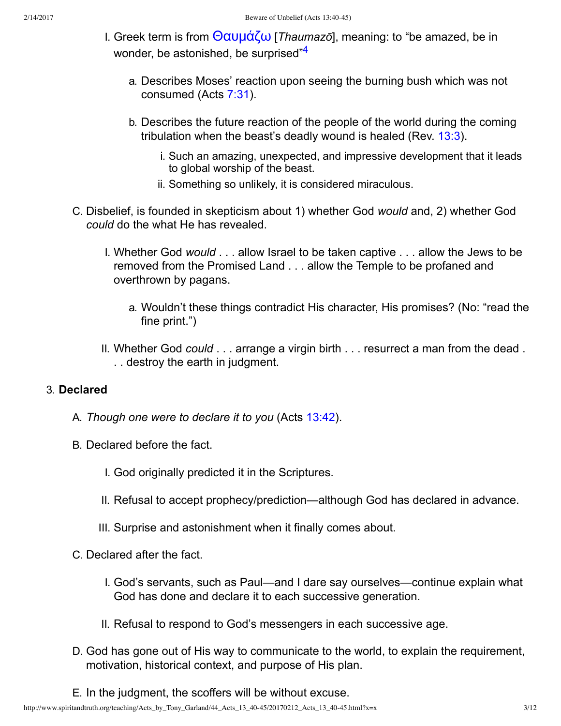- <span id="page-2-0"></span>I. Greek term is from  $\Theta$ αυμάζω [*Thaumazō*], meaning: to "be amazed, be in wonder, be astonished, be surprised"<sup>[4](#page-11-5)</sup>
	- a. Describes Moses' reaction upon seeing the burning bush which was not consumed (Acts [7:31\)](http://www.spiritandtruth.org/bibles/nasb/b44c007.htm#Acts_C7V31).
	- b. Describes the future reaction of the people of the world during the coming tribulation when the beast's deadly wound is healed (Rev. [13:3](http://www.spiritandtruth.org/bibles/nasb/b66c013.htm#Rev._C13V3)).
		- i. Such an amazing, unexpected, and impressive development that it leads to global worship of the beast.
		- ii. Something so unlikely, it is considered miraculous.
- C. Disbelief, is founded in skepticism about 1) whether God *would* and, 2) whether God *could* do the what He has revealed.
	- I. Whether God *would* . . . allow Israel to be taken captive . . . allow the Jews to be removed from the Promised Land . . . allow the Temple to be profaned and overthrown by pagans.
		- a. Wouldn't these things contradict His character, His promises? (No: "read the fine print.")
	- II. Whether God *could* . . . arrange a virgin birth . . . resurrect a man from the dead . . . destroy the earth in judgment.

### 3. **Declared**

- A. *Though one were to declare it to you* (Acts [13:42\)](http://www.spiritandtruth.org/bibles/nasb/b44c013.htm#Acts_C13V42).
- B. Declared before the fact.
	- I. God originally predicted it in the Scriptures.
	- II. Refusal to accept prophecy/prediction—although God has declared in advance.
	- III. Surprise and astonishment when it finally comes about.
- C. Declared after the fact.
	- I. God's servants, such as Paul—and I dare say ourselves—continue explain what God has done and declare it to each successive generation.
	- II. Refusal to respond to God's messengers in each successive age.
- D. God has gone out of His way to communicate to the world, to explain the requirement, motivation, historical context, and purpose of His plan.
- E. In the judgment, the scoffers will be without excuse.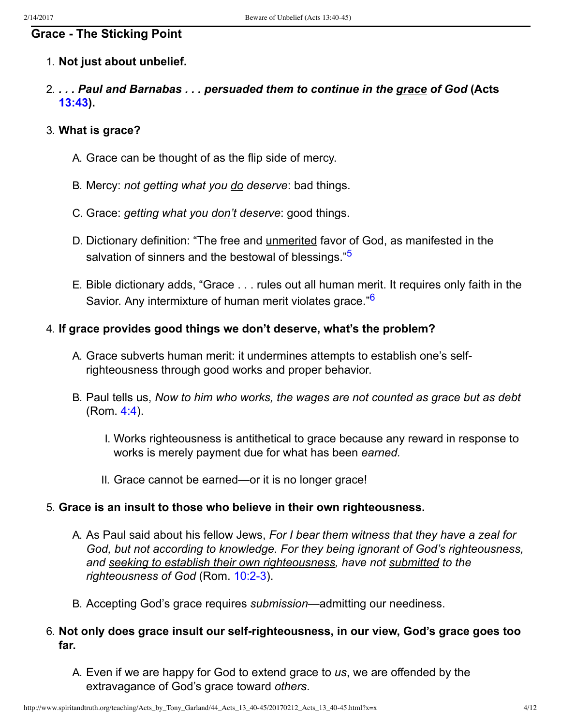## **Grace The Sticking Point**

### 1. **Not just about unbelief.**

2. *. . . Paul and Barnabas . . . persuaded them to continue in the grace of God* **(Acts [13:43](http://www.spiritandtruth.org/bibles/nasb/b44c013.htm#Acts_C13V43)).**

### 3. **What is grace?**

- A. Grace can be thought of as the flip side of mercy.
- B. Mercy: *not getting what you do deserve*: bad things.
- C. Grace: *getting what you don't deserve*: good things.
- <span id="page-3-0"></span>D. Dictionary definition: "The free and unmerited favor of God, as manifested in the salvation of sinners and the bestowal of blessings."<sup>[5](#page-11-6)</sup>
- <span id="page-3-1"></span>E. Bible dictionary adds, "Grace . . . rules out all human merit. It requires only faith in the Savior. Any intermixture of human merit violates grace."<sup>[6](#page-11-7)</sup>

### 4. **If grace provides good things we don't deserve, what's the problem?**

- A. Grace subverts human merit: it undermines attempts to establish one's selfrighteousness through good works and proper behavior.
- B. Paul tells us, *Now to him who works, the wages are not counted as grace but as debt* (Rom. [4:4\)](http://www.spiritandtruth.org/bibles/nasb/b45c004.htm#Rom._C4V4).
	- I. Works righteousness is antithetical to grace because any reward in response to works is merely payment due for what has been *earned.*
	- II. Grace cannot be earned—or it is no longer grace!

### 5. **Grace is an insult to those who believe in their own righteousness.**

- A. As Paul said about his fellow Jews, *For I bear them witness that they have a zeal for God, but not according to knowledge. For they being ignorant of God's righteousness, and seeking to establish their own righteousness, have not submitted to the* righteousness of God (Rom. 10:2-3).
- B. Accepting God's grace requires *submission*—admitting our neediness.

### 6. **Not only does grace insult our selfrighteousness, in our view, God's grace goes too far.**

A. Even if we are happy for God to extend grace to *us*, we are offended by the extravagance of God's grace toward *others*.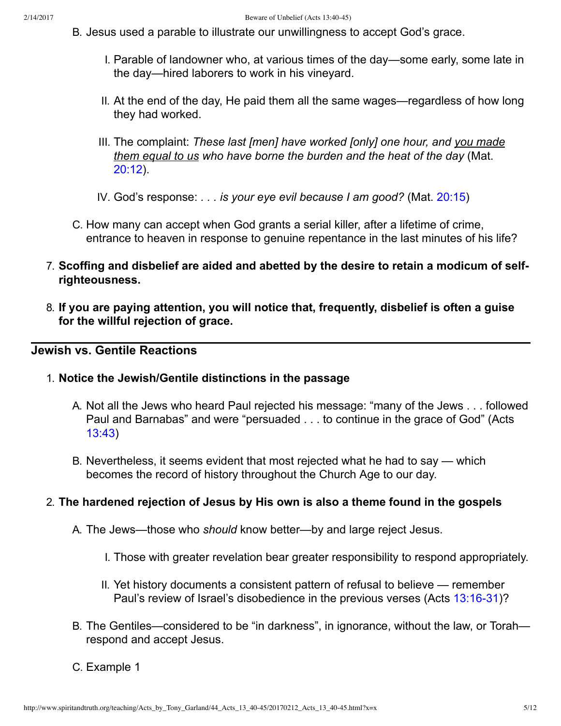- B. Jesus used a parable to illustrate our unwillingness to accept God's grace.
	- I. Parable of landowner who, at various times of the day—some early, some late in the day—hired laborers to work in his vineyard.
	- II. At the end of the day, He paid them all the same wages—regardless of how long they had worked.
	- III. The complaint: *These last [men] have worked [only] one hour, and you made them equal to us who have borne the burden and the heat of the day* (Mat. [20:12\)](http://www.spiritandtruth.org/bibles/nasb/b40c020.htm#Mat._C20V12).
	- IV. God's response: *. . . is your eye evil because I am good?* (Mat. [20:15](http://www.spiritandtruth.org/bibles/nasb/b40c020.htm#Mat._C20V15))
- C. How many can accept when God grants a serial killer, after a lifetime of crime, entrance to heaven in response to genuine repentance in the last minutes of his life?
- 7. **Scoffing and disbelief are aided and abetted by the desire to retain a modicum of selfrighteousness.**
- 8. **If you are paying attention, you will notice that, frequently, disbelief is often a guise for the willful rejection of grace.**

### **Jewish vs. Gentile Reactions**

#### 1. **Notice the Jewish/Gentile distinctions in the passage**

- A. Not all the Jews who heard Paul rejected his message: "many of the Jews . . . followed Paul and Barnabas" and were "persuaded . . . to continue in the grace of God" (Acts [13:43\)](http://www.spiritandtruth.org/bibles/nasb/b44c013.htm#Acts_C13V43)
- B. Nevertheless, it seems evident that most rejected what he had to say which becomes the record of history throughout the Church Age to our day.

#### 2. **The hardened rejection of Jesus by His own is also a theme found in the gospels**

- A. The Jews—those who *should* know better—by and large reject Jesus.
	- I. Those with greater revelation bear greater responsibility to respond appropriately.
	- II. Yet history documents a consistent pattern of refusal to believe remember Paul's review of Israel's disobedience in the previous verses (Acts 13:16-31)?
- B. The Gentiles—considered to be "in darkness", in ignorance, without the law, or Torah respond and accept Jesus.
- C. Example 1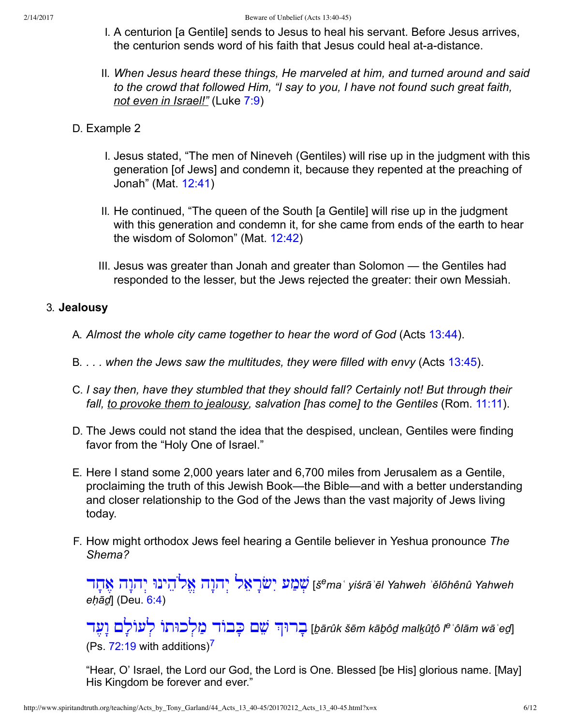- I. A centurion [a Gentile] sends to Jesus to heal his servant. Before Jesus arrives, the centurion sends word of his faith that Jesus could heal at-a-distance.
- II. *When Jesus heard these things, He marveled at him, and turned around and said to the crowd that followed Him, "I say to you, I have not found such great faith, not even in Israel!"* (Luke [7:9\)](http://www.spiritandtruth.org/bibles/nasb/b42c007.htm#Luke_C7V9)
- D. Example 2
	- I. Jesus stated, "The men of Nineveh (Gentiles) will rise up in the judgment with this generation [of Jews] and condemn it, because they repented at the preaching of Jonah" (Mat. [12:41\)](http://www.spiritandtruth.org/bibles/nasb/b40c012.htm#Mat._C12V41)
	- II. He continued, "The queen of the South [a Gentile] will rise up in the judgment with this generation and condemn it, for she came from ends of the earth to hear the wisdom of Solomon" (Mat. [12:42\)](http://www.spiritandtruth.org/bibles/nasb/b40c012.htm#Mat._C12V42)
	- III. Jesus was greater than Jonah and greater than Solomon the Gentiles had responded to the lesser, but the Jews rejected the greater: their own Messiah.

### 3. **Jealousy**

- A. *Almost the whole city came together to hear the word of God* (Acts [13:44](http://www.spiritandtruth.org/bibles/nasb/b44c013.htm#Acts_C13V44)).
- B. *. . . when the Jews saw the multitudes, they were filled with envy* (Acts [13:45](http://www.spiritandtruth.org/bibles/nasb/b44c013.htm#Acts_C13V45)).
- C. *I say then, have they stumbled that they should fall? Certainly not! But through their fall, to provoke them to jealousy, salvation [has come] to the Gentiles* (Rom. [11:11\)](http://www.spiritandtruth.org/bibles/nasb/b45c011.htm#Rom._C11V11).
- D. The Jews could not stand the idea that the despised, unclean, Gentiles were finding favor from the "Holy One of Israel."
- E. Here I stand some 2,000 years later and 6,700 miles from Jerusalem as a Gentile, proclaiming the truth of this Jewish Book—the Bible—and with a better understanding and closer relationship to the God of the Jews than the vast majority of Jews living today.
- F. How might orthodox Jews feel hearing a Gentile believer in Yeshua pronounce *The Shema?*

[Ė Ćח Ąē ėĆĘė ְי ינוּ ăėֱē ėĆĘė ְי ğ ăē Ćרř Ăי ע ąġ ְŘ](http://www.spiritandtruth.org/fontsu/index.htm) [*š <sup>e</sup>maӅ yiśrāӄēl Yahweh ӄělōhênû Yahweh eḥāḏ*] (Deu. [6:4\)](http://www.spiritandtruth.org/bibles/nasb/b05c006.htm#Deu._C6V4)

<span id="page-5-0"></span><u>תְּרוּךְ שֶׁם כָבוֹד מַלְכוּתוֹ לְעוֹלָם וָשֶׁד [tarûk šēm kāḇôḍ malkûṯô l<sup>e s</sup>ôlām wāʿeg]</u> (Ps.  $72:19$  $72:19$  with additions)<sup>7</sup>

"Hear, O' Israel, the Lord our God, the Lord is One. Blessed [be His] glorious name. [May] His Kingdom be forever and ever."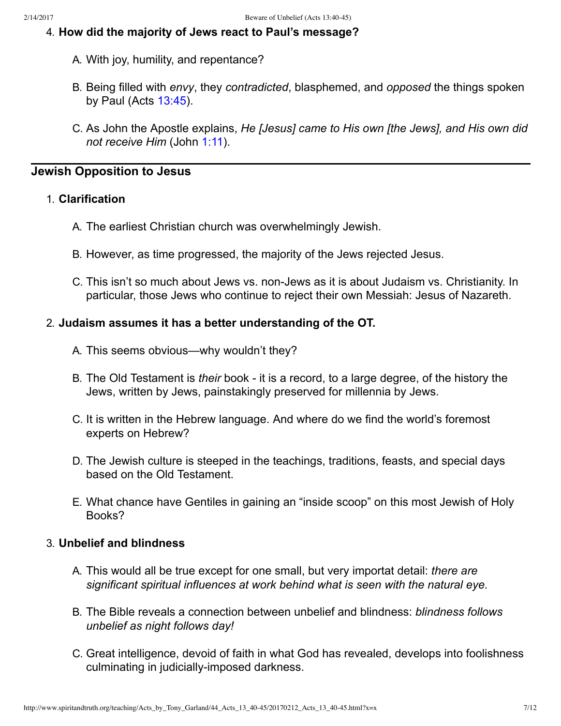### 4. **How did the majority of Jews react to Paul's message?**

- A. With joy, humility, and repentance?
- B. Being filled with *envy*, they *contradicted*, blasphemed, and *opposed* the things spoken by Paul (Acts [13:45\)](http://www.spiritandtruth.org/bibles/nasb/b44c013.htm#Acts_C13V45).
- C. As John the Apostle explains, *He [Jesus] came to His own [the Jews], and His own did not receive Him* (John [1:11](http://www.spiritandtruth.org/bibles/nasb/b43c001.htm#John_C1V11)).

### **Jewish Opposition to Jesus**

### 1. **Clarification**

- A. The earliest Christian church was overwhelmingly Jewish.
- B. However, as time progressed, the majority of the Jews rejected Jesus.
- C. This isn't so much about Jews vs. non-Jews as it is about Judaism vs. Christianity. In particular, those Jews who continue to reject their own Messiah: Jesus of Nazareth.

### 2. **Judaism assumes it has a better understanding of the OT.**

- A. This seems obvious—why wouldn't they?
- B. The Old Testament is *their* book it is a record, to a large degree, of the history the Jews, written by Jews, painstakingly preserved for millennia by Jews.
- C. It is written in the Hebrew language. And where do we find the world's foremost experts on Hebrew?
- D. The Jewish culture is steeped in the teachings, traditions, feasts, and special days based on the Old Testament.
- E. What chance have Gentiles in gaining an "inside scoop" on this most Jewish of Holy Books?

### 3. **Unbelief and blindness**

- A. This would all be true except for one small, but very importat detail: *there are significant spiritual influences at work behind what is seen with the natural eye.*
- B. The Bible reveals a connection between unbelief and blindness: *blindness follows unbelief as night follows day!*
- C. Great intelligence, devoid of faith in what God has revealed, develops into foolishness culminating in judicially-imposed darkness.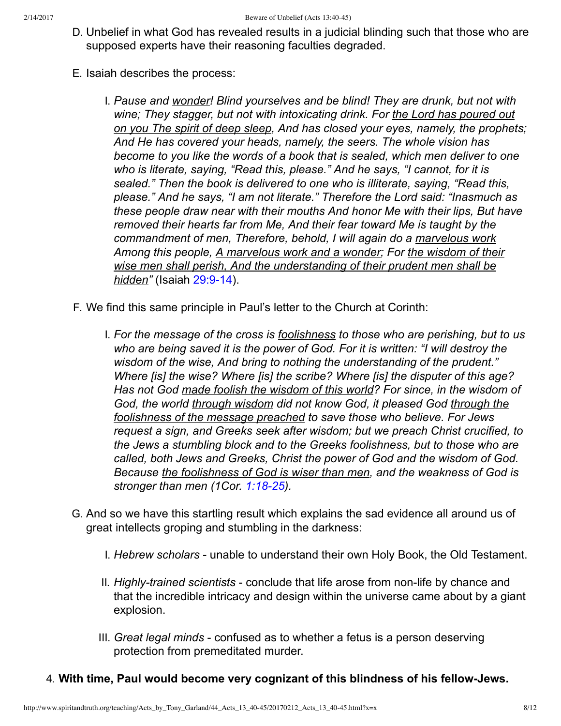- D. Unbelief in what God has revealed results in a judicial blinding such that those who are supposed experts have their reasoning faculties degraded.
- E. Isaiah describes the process:
	- I. *Pause and wonder! Blind yourselves and be blind! They are drunk, but not with wine; They stagger, but not with intoxicating drink. For the Lord has poured out on you The spirit of deep sleep, And has closed your eyes, namely, the prophets; And He has covered your heads, namely, the seers. The whole vision has become to you like the words of a book that is sealed, which men deliver to one who is literate, saying, "Read this, please." And he says, "I cannot, for it is sealed." Then the book is delivered to one who is illiterate, saying, "Read this, please." And he says, "I am not literate." Therefore the Lord said: "Inasmuch as these people draw near with their mouths And honor Me with their lips, But have removed their hearts far from Me, And their fear toward Me is taught by the commandment of men, Therefore, behold, I will again do a marvelous work Among this people, A marvelous work and a wonder; For the wisdom of their wise men shall perish, And the understanding of their prudent men shall be hidden"* (Isaiah 29:9-14).
- F. We find this same principle in Paul's letter to the Church at Corinth:
	- I. *For the message of the cross is foolishness to those who are perishing, but to us who are being saved it is the power of God. For it is written: "I will destroy the wisdom of the wise, And bring to nothing the understanding of the prudent." Where [is] the wise? Where [is] the scribe? Where [is] the disputer of this age? Has not God made foolish the wisdom of this world? For since, in the wisdom of God, the world through wisdom did not know God, it pleased God through the foolishness of the message preached to save those who believe. For Jews request a sign, and Greeks seek after wisdom; but we preach Christ crucified, to the Jews a stumbling block and to the Greeks foolishness, but to those who are called, both Jews and Greeks, Christ the power of God and the wisdom of God. Because the foolishness of God is wiser than men, and the weakness of God is stronger than men (1Cor. 1:18-25).*
- G. And so we have this startling result which explains the sad evidence all around us of great intellects groping and stumbling in the darkness:
	- I. *Hebrew scholars* unable to understand their own Holy Book, the Old Testament.
	- II. *Highly-trained scientists* conclude that life arose from non-life by chance and that the incredible intricacy and design within the universe came about by a giant explosion.
	- III. *Great legal minds* confused as to whether a fetus is a person deserving protection from premeditated murder.

### 4. With time, Paul would become very cognizant of this blindness of his fellow-Jews.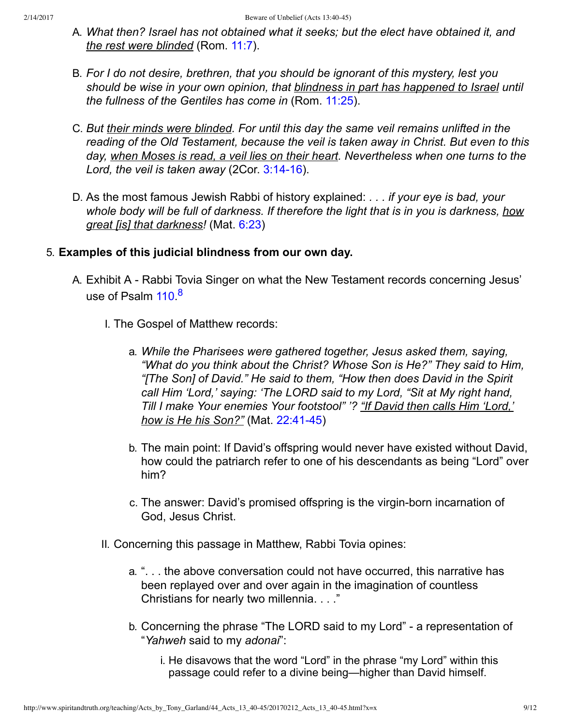- A. *What then? Israel has not obtained what it seeks; but the elect have obtained it, and the rest were blinded* (Rom. [11:7\)](http://www.spiritandtruth.org/bibles/nasb/b45c011.htm#Rom._C11V7).
- B. *For I do not desire, brethren, that you should be ignorant of this mystery, lest you should be wise in your own opinion, that blindness in part has happened to Israel until the fullness of the Gentiles has come in* (Rom. [11:25\)](http://www.spiritandtruth.org/bibles/nasb/b45c011.htm#Rom._C11V25).
- C. *But their minds were blinded. For until this day the same veil remains unlifted in the reading of the Old Testament, because the veil is taken away in Christ. But even to this day, when Moses is read, a veil lies on their heart. Nevertheless when one turns to the* Lord, the veil is taken away (2Cor. 3:14-16).
- D. As the most famous Jewish Rabbi of history explained: *. . . if your eye is bad, your whole body will be full of darkness. If therefore the light that is in you is darkness, how great [is] that darkness!* (Mat. [6:23](http://www.spiritandtruth.org/bibles/nasb/b40c006.htm#Mat._C6V23))

### 5. **Examples of this judicial blindness from our own day.**

- <span id="page-8-0"></span>A. Exhibit A - Rabbi Tovia Singer on what the New Testament records concerning Jesus' use of Psalm [110](http://www.spiritandtruth.org/bibles/nasb/b19c110.htm#Ps._C110V1).<sup>[8](#page-11-9)</sup>
	- I. The Gospel of Matthew records:
		- a. *While the Pharisees were gathered together, Jesus asked them, saying, "What do you think about the Christ? Whose Son is He?" They said to Him, "[The Son] of David." He said to them, "How then does David in the Spirit call Him 'Lord,' saying: 'The LORD said to my Lord, "Sit at My right hand, Till I make Your enemies Your footstool" '? "If David then calls Him 'Lord,' how is He his Son?"* (Mat. 22:41-45)
		- b. The main point: If David's offspring would never have existed without David, how could the patriarch refer to one of his descendants as being "Lord" over him?
		- c. The answer: David's promised offspring is the virgin-born incarnation of God, Jesus Christ.
	- II. Concerning this passage in Matthew, Rabbi Tovia opines:
		- a. ". . . the above conversation could not have occurred, this narrative has been replayed over and over again in the imagination of countless Christians for nearly two millennia. . . ."
		- b. Concerning the phrase "The LORD said to my Lord" a representation of "*Yahweh* said to my *adonai*":
			- i. He disavows that the word "Lord" in the phrase "my Lord" within this passage could refer to a divine being—higher than David himself.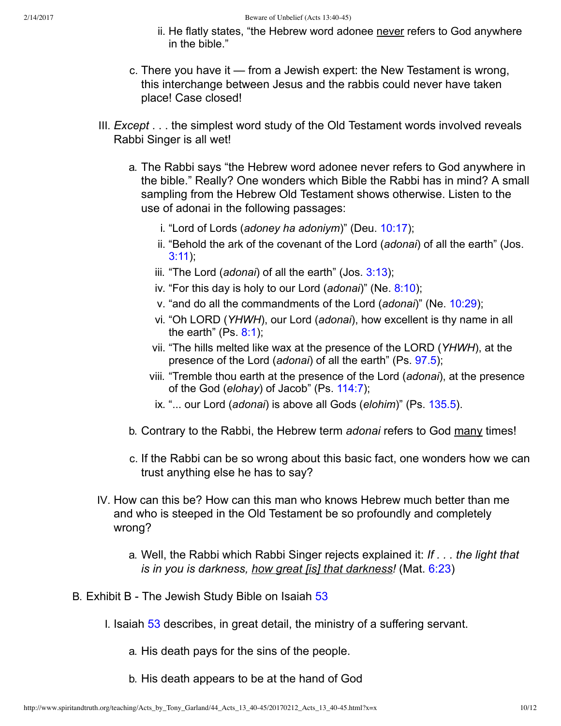- ii. He flatly states, "the Hebrew word adonee never refers to God anywhere in the bible."
- c. There you have it from a Jewish expert: the New Testament is wrong, this interchange between Jesus and the rabbis could never have taken place! Case closed!
- III. *Except* . . . the simplest word study of the Old Testament words involved reveals Rabbi Singer is all wet!
	- a. The Rabbi says "the Hebrew word adonee never refers to God anywhere in the bible." Really? One wonders which Bible the Rabbi has in mind? A small sampling from the Hebrew Old Testament shows otherwise. Listen to the use of adonai in the following passages:
		- i. "Lord of Lords (*adoney ha adoniym*)" (Deu. [10:17](http://www.spiritandtruth.org/bibles/nasb/b05c010.htm#Deu._C10V17));
		- ii. "Behold the ark of the covenant of the Lord (*adonai*) of all the earth" (Jos. [3:11\)](http://www.spiritandtruth.org/bibles/nasb/b06c003.htm#Jos._C3V11);
		- iii. "The Lord (*adonai*) of all the earth" (Jos. [3:13](http://www.spiritandtruth.org/bibles/nasb/b06c003.htm#Jos._C3V13));
		- iv. "For this day is holy to our Lord (*adonai*)" (Ne. [8:10\)](http://www.spiritandtruth.org/bibles/nasb/b16c008.htm#Ne._C8V10);
		- v. "and do all the commandments of the Lord (*adonai*)" (Ne. [10:29](http://www.spiritandtruth.org/bibles/nasb/b16c010.htm#Ne._C10V29));
		- vi. "Oh LORD (*YHWH*), our Lord (*adonai*), how excellent is thy name in all the earth" (Ps.  $8:1$ );
		- vii. "The hills melted like wax at the presence of the LORD (*YHWH*), at the presence of the Lord (*adonai*) of all the earth" (Ps. [97.5\)](http://www.spiritandtruth.org/bibles/nasb/b19c097.htm#Ps._C97V5);
		- viii. "Tremble thou earth at the presence of the Lord (*adonai*), at the presence of the God (*elohay*) of Jacob" (Ps. [114:7\)](http://www.spiritandtruth.org/bibles/nasb/b19c114.htm#Ps._C114V7);
		- ix. "... our Lord (*adonai*) is above all Gods (*elohim*)" (Ps. [135.5\)](http://www.spiritandtruth.org/bibles/nasb/b19c135.htm#Ps._C135V5).
	- b. Contrary to the Rabbi, the Hebrew term *adonai* refers to God many times!
	- c. If the Rabbi can be so wrong about this basic fact, one wonders how we can trust anything else he has to say?
- IV. How can this be? How can this man who knows Hebrew much better than me and who is steeped in the Old Testament be so profoundly and completely wrong?
	- a. Well, the Rabbi which Rabbi Singer rejects explained it: *If . . . the light that is in you is darkness, how great [is] that darkness!* (Mat. [6:23\)](http://www.spiritandtruth.org/bibles/nasb/b40c006.htm#Mat._C6V23)
- B. Exhibit B The Jewish Study Bible on Isaiah [53](http://www.spiritandtruth.org/bibles/nasb/b23c053.htm#Isa._C53V1)
	- I. Isaiah [53](http://www.spiritandtruth.org/bibles/nasb/b23c053.htm#Isa._C53V1) describes, in great detail, the ministry of a suffering servant.
		- a. His death pays for the sins of the people.
		- b. His death appears to be at the hand of God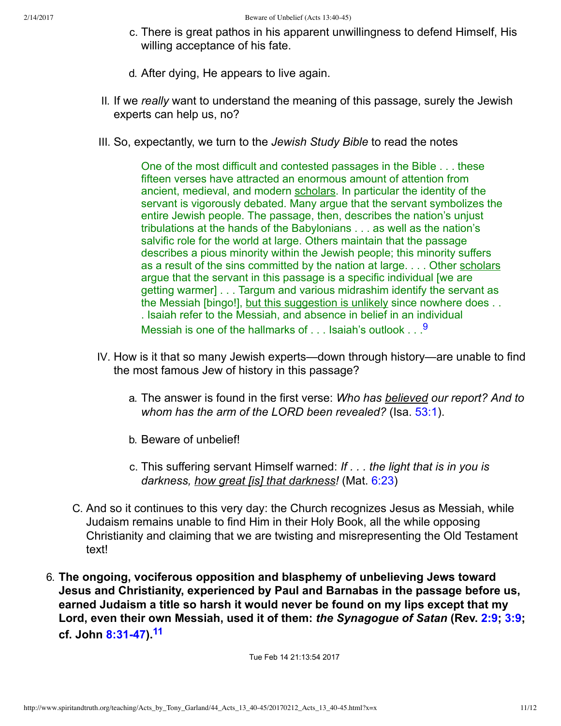- c. There is great pathos in his apparent unwillingness to defend Himself, His willing acceptance of his fate.
- d. After dying, He appears to live again.
- II. If we *really* want to understand the meaning of this passage, surely the Jewish experts can help us, no?
- III. So, expectantly, we turn to the *Jewish Study Bible* to read the notes

<span id="page-10-0"></span>One of the most difficult and contested passages in the Bible . . . these fifteen verses have attracted an enormous amount of attention from ancient, medieval, and modern scholars. In particular the identity of the servant is vigorously debated. Many argue that the servant symbolizes the entire Jewish people. The passage, then, describes the nation's unjust tribulations at the hands of the Babylonians . . . as well as the nation's salvific role for the world at large. Others maintain that the passage describes a pious minority within the Jewish people; this minority suffers as a result of the sins committed by the nation at large. . . . Other scholars argue that the servant in this passage is a specific individual [we are getting warmer] . . . Targum and various midrashim identify the servant as the Messiah [bingo!], but this suggestion is unlikely since nowhere does . . . Isaiah refer to the Messiah, and absence in belief in an individual Messiah is one of the hallmarks of  $\dots$  Isaiah's outlook  $\dots$ <sup>[9](#page-11-10)</sup>

- IV. How is it that so many Jewish experts—down through history—are unable to find the most famous Jew of history in this passage?
	- a. The answer is found in the first verse: *Who has believed our report? And to whom has the arm of the LORD been revealed?* (Isa. [53:1\)](http://www.spiritandtruth.org/bibles/nasb/b23c053.htm#Isa._C53V1).
	- b. Beware of unbelief!
	- c. This suffering servant Himself warned: *If . . . the light that is in you is darkness, how great [is] that darkness!* (Mat. [6:23](http://www.spiritandtruth.org/bibles/nasb/b40c006.htm#Mat._C6V23))
- C. And so it continues to this very day: the Church recognizes Jesus as Messiah, while Judaism remains unable to find Him in their Holy Book, all the while opposing Christianity and claiming that we are twisting and misrepresenting the Old Testament text!
- 6. **The ongoing, vociferous opposition and blasphemy of unbelieving Jews toward Jesus and Christianity, experienced by Paul and Barnabas in the passage before us, earned Judaism a title so harsh it would never be found on my lips except that my Lord, even their own Messiah, used it of them:** *the Synagogue of Satan* **(Rev. [2:9;](http://www.spiritandtruth.org/bibles/nasb/b66c002.htm#Rev._C2V9) [3:9](http://www.spiritandtruth.org/bibles/nasb/b66c003.htm#Rev._C3V9); cf. John [8:3147](http://www.spiritandtruth.org/bibles/nasb/b43c008.htm#John_C8V31)).[11](#page-11-11)**

<span id="page-10-1"></span>Tue Feb 14 21:13:54 2017